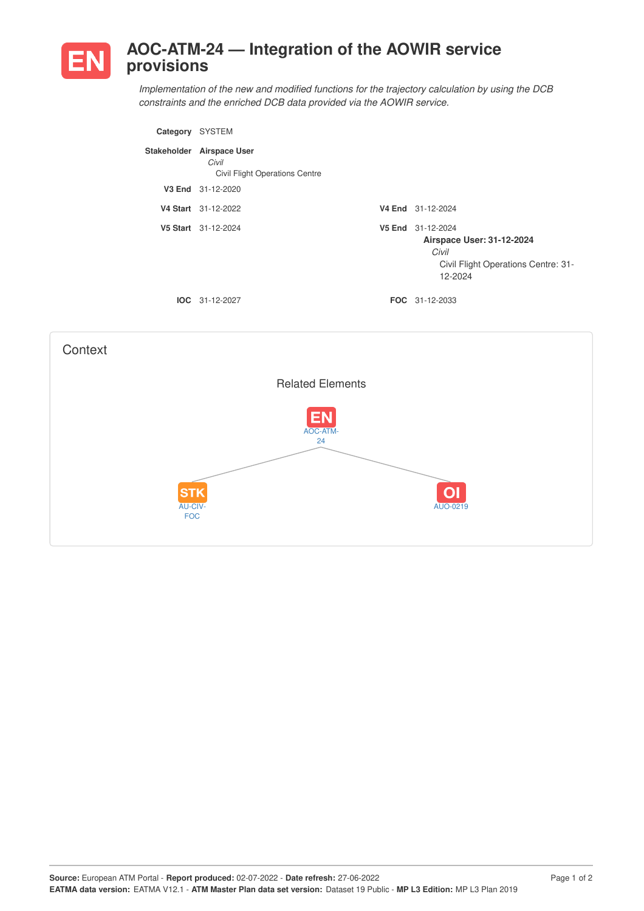

## **AOC-ATM-24 — Integration of the AOWIR service provisions**

*Implementation of the new and modified functions for the trajectory calculation by using the DCB constraints and the enriched DCB data provided via the AOWIR service.*

| Category    | <b>SYSTEM</b>                                                          |                                                                                                                  |
|-------------|------------------------------------------------------------------------|------------------------------------------------------------------------------------------------------------------|
| Stakeholder | <b>Airspace User</b><br>Civil<br><b>Civil Flight Operations Centre</b> |                                                                                                                  |
|             | V3 End 31-12-2020                                                      |                                                                                                                  |
|             | V4 Start 31-12-2022                                                    | V4 End 31-12-2024                                                                                                |
|             | V5 Start 31-12-2024                                                    | V5 End 31-12-2024<br><b>Airspace User: 31-12-2024</b><br>Civil<br>Civil Flight Operations Centre: 31-<br>12-2024 |
|             | $IOC 31-12-2027$                                                       | <b>FOC</b> 31-12-2033                                                                                            |